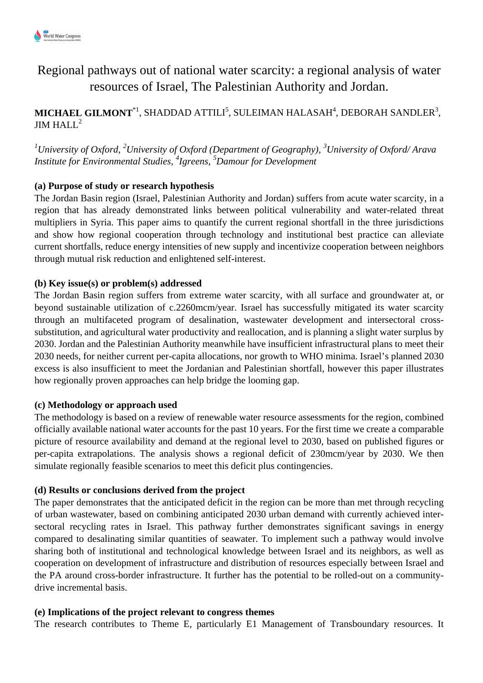

# Regional pathways out of national water scarcity: a regional analysis of water resources of Israel, The Palestinian Authority and Jordan.

## $\mathbf{MICHAEL\ GLMONT}^{*1}, \mathrm{SHADDAD\ ATTLI}^{5}, \mathrm{SULEIMAN\ HALASAH}^{4}, \mathrm{DEBORAH\ SAMDLER}^{3},$ JIM HALL<sup>2</sup>

*<sup>1</sup>University of Oxford, <sup>2</sup>University of Oxford (Department of Geography), <sup>3</sup>University of Oxford/ Arava Institute for Environmental Studies, <sup>4</sup> Igreens, <sup>5</sup>Damour for Development*

### **(a) Purpose of study or research hypothesis**

The Jordan Basin region (Israel, Palestinian Authority and Jordan) suffers from acute water scarcity, in a region that has already demonstrated links between political vulnerability and water-related threat multipliers in Syria. This paper aims to quantify the current regional shortfall in the three jurisdictions and show how regional cooperation through technology and institutional best practice can alleviate current shortfalls, reduce energy intensities of new supply and incentivize cooperation between neighbors through mutual risk reduction and enlightened self-interest.

#### **(b) Key issue(s) or problem(s) addressed**

The Jordan Basin region suffers from extreme water scarcity, with all surface and groundwater at, or beyond sustainable utilization of c.2260mcm/year. Israel has successfully mitigated its water scarcity through an multifaceted program of desalination, wastewater development and intersectoral crosssubstitution, and agricultural water productivity and reallocation, and is planning a slight water surplus by 2030. Jordan and the Palestinian Authority meanwhile have insufficient infrastructural plans to meet their 2030 needs, for neither current per-capita allocations, nor growth to WHO minima. Israel's planned 2030 excess is also insufficient to meet the Jordanian and Palestinian shortfall, however this paper illustrates how regionally proven approaches can help bridge the looming gap.

#### **(c) Methodology or approach used**

The methodology is based on a review of renewable water resource assessments for the region, combined officially available national water accounts for the past 10 years. For the first time we create a comparable picture of resource availability and demand at the regional level to 2030, based on published figures or per-capita extrapolations. The analysis shows a regional deficit of 230mcm/year by 2030. We then simulate regionally feasible scenarios to meet this deficit plus contingencies.

#### **(d) Results or conclusions derived from the project**

The paper demonstrates that the anticipated deficit in the region can be more than met through recycling of urban wastewater, based on combining anticipated 2030 urban demand with currently achieved intersectoral recycling rates in Israel. This pathway further demonstrates significant savings in energy compared to desalinating similar quantities of seawater. To implement such a pathway would involve sharing both of institutional and technological knowledge between Israel and its neighbors, as well as cooperation on development of infrastructure and distribution of resources especially between Israel and the PA around cross-border infrastructure. It further has the potential to be rolled-out on a communitydrive incremental basis.

#### **(e) Implications of the project relevant to congress themes**

The research contributes to Theme E, particularly E1 Management of Transboundary resources. It